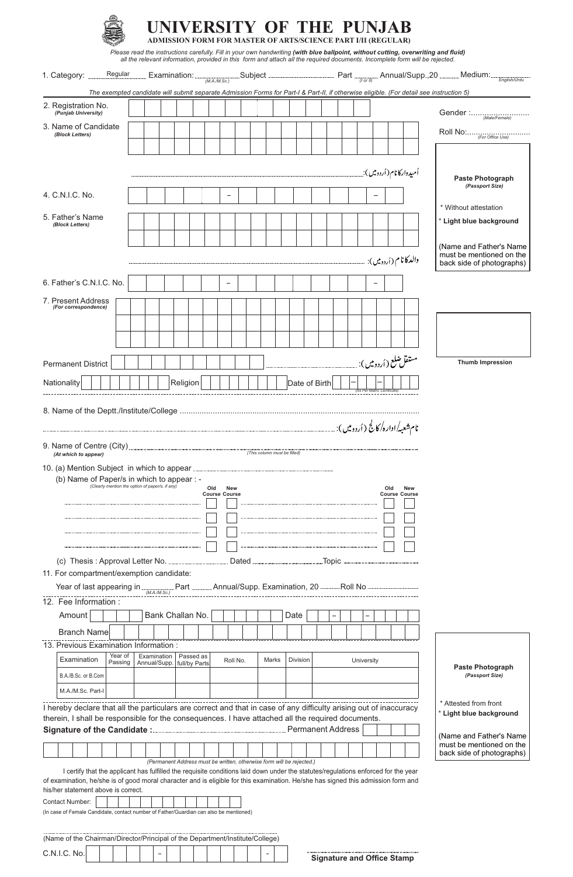|                                                                                                                                                                                                                         |             |                              |           |     |                      |            |       |                                                                       | UNIVERSITY OF THE PUNJAB<br><b>ADMISSION FORM FOR MASTER OF ARTS/SCIENCE PART I/II (REGULAR)</b> |  |                         |     | Please read the instructions carefully. Fill in your own handwriting (with blue ballpoint, without cutting, overwriting and fluid) |  |                                                       |                 |              |  |
|-------------------------------------------------------------------------------------------------------------------------------------------------------------------------------------------------------------------------|-------------|------------------------------|-----------|-----|----------------------|------------|-------|-----------------------------------------------------------------------|--------------------------------------------------------------------------------------------------|--|-------------------------|-----|------------------------------------------------------------------------------------------------------------------------------------|--|-------------------------------------------------------|-----------------|--------------|--|
| Regular<br>1. Category:                                                                                                                                                                                                 |             |                              |           |     |                      |            |       |                                                                       |                                                                                                  |  |                         |     | all the relevant information, provided in this form and attach all the required documents. Incomplete form will be rejected.       |  | .Medium:                                              |                 |              |  |
|                                                                                                                                                                                                                         |             |                              |           |     |                      |            |       |                                                                       |                                                                                                  |  |                         |     | Examination: Subject Subject Part $P_{\text{Gor}(\theta)}$ Annual/Supp., 20                                                        |  |                                                       |                 | English/Urdu |  |
| The exempted candidate will submit separate Admission Forms for Part-I & Part-II, if otherwise eligible. (For detail see instruction 5)<br>2. Registration No.                                                          |             |                              |           |     |                      |            |       |                                                                       |                                                                                                  |  |                         |     |                                                                                                                                    |  |                                                       |                 |              |  |
| (Punjab University)                                                                                                                                                                                                     |             |                              |           |     |                      |            |       |                                                                       |                                                                                                  |  |                         |     |                                                                                                                                    |  |                                                       |                 |              |  |
| 3. Name of Candidate<br>(Block Letters)                                                                                                                                                                                 |             |                              |           |     |                      |            |       |                                                                       |                                                                                                  |  |                         |     |                                                                                                                                    |  | Roll No: <i>(For Office Use)</i>                      |                 |              |  |
|                                                                                                                                                                                                                         |             |                              |           |     |                      |            |       |                                                                       |                                                                                                  |  |                         |     |                                                                                                                                    |  |                                                       |                 |              |  |
|                                                                                                                                                                                                                         |             |                              |           |     |                      |            |       |                                                                       |                                                                                                  |  |                         |     | اُمیدوارکانام(اُردومیں) یہ                                                                                                         |  | <b>Paste Photograph</b>                               | (Passport Size) |              |  |
| 4. C.N.I.C. No.                                                                                                                                                                                                         |             |                              |           |     |                      |            |       |                                                                       |                                                                                                  |  |                         |     |                                                                                                                                    |  |                                                       |                 |              |  |
| 5. Father's Name                                                                                                                                                                                                        |             |                              |           |     |                      |            |       |                                                                       |                                                                                                  |  |                         |     |                                                                                                                                    |  | * Without attestation                                 |                 |              |  |
| (Block Letters)                                                                                                                                                                                                         |             |                              |           |     |                      |            |       |                                                                       |                                                                                                  |  |                         |     |                                                                                                                                    |  | * Light blue background                               |                 |              |  |
|                                                                                                                                                                                                                         |             |                              |           |     |                      |            |       |                                                                       |                                                                                                  |  |                         |     |                                                                                                                                    |  | (Name and Father's Name                               |                 |              |  |
|                                                                                                                                                                                                                         |             |                              |           |     |                      |            |       |                                                                       |                                                                                                  |  |                         |     | والدكانام (أردومين):                                                                                                               |  | must be mentioned on the<br>back side of photographs) |                 |              |  |
| 6. Father's C.N.I.C. No.                                                                                                                                                                                                |             |                              |           |     |                      |            |       |                                                                       |                                                                                                  |  |                         |     |                                                                                                                                    |  |                                                       |                 |              |  |
| 7. Present Address                                                                                                                                                                                                      |             |                              |           |     |                      |            |       |                                                                       |                                                                                                  |  |                         |     |                                                                                                                                    |  |                                                       |                 |              |  |
| (For correspondence)                                                                                                                                                                                                    |             |                              |           |     |                      |            |       |                                                                       |                                                                                                  |  |                         |     |                                                                                                                                    |  |                                                       |                 |              |  |
|                                                                                                                                                                                                                         |             |                              |           |     |                      |            |       |                                                                       |                                                                                                  |  |                         |     |                                                                                                                                    |  |                                                       |                 |              |  |
|                                                                                                                                                                                                                         |             |                              |           |     |                      |            |       |                                                                       |                                                                                                  |  |                         |     |                                                                                                                                    |  |                                                       |                 |              |  |
| <b>Permanent District</b>                                                                                                                                                                                               |             |                              |           |     |                      |            |       |                                                                       |                                                                                                  |  | مستقل ضلع ( اُردومیں ): |     |                                                                                                                                    |  | <b>Thumb Impression</b>                               |                 |              |  |
| Nationality                                                                                                                                                                                                             |             | Religion                     |           |     |                      |            |       |                                                                       | Date of Birth                                                                                    |  |                         |     |                                                                                                                                    |  |                                                       |                 |              |  |
|                                                                                                                                                                                                                         |             |                              |           |     |                      |            |       |                                                                       |                                                                                                  |  |                         |     |                                                                                                                                    |  |                                                       |                 |              |  |
| (b) Name of Paper/s in which to appear : -<br>(Clearly mention the option of paper/s, if any)                                                                                                                           |             |                              |           | Old | <b>Course Course</b> | <b>New</b> |       |                                                                       |                                                                                                  |  |                         | Old | <b>New</b><br><b>Course Course</b>                                                                                                 |  |                                                       |                 |              |  |
|                                                                                                                                                                                                                         |             |                              |           |     |                      |            |       |                                                                       |                                                                                                  |  |                         |     |                                                                                                                                    |  |                                                       |                 |              |  |
|                                                                                                                                                                                                                         |             |                              |           |     |                      |            |       |                                                                       |                                                                                                  |  |                         |     |                                                                                                                                    |  |                                                       |                 |              |  |
|                                                                                                                                                                                                                         |             |                              |           |     |                      |            |       |                                                                       |                                                                                                  |  |                         |     |                                                                                                                                    |  |                                                       |                 |              |  |
|                                                                                                                                                                                                                         |             |                              |           |     |                      |            |       |                                                                       |                                                                                                  |  |                         |     |                                                                                                                                    |  |                                                       |                 |              |  |
| 11. For compartment/exemption candidate:                                                                                                                                                                                |             |                              |           |     |                      |            |       |                                                                       |                                                                                                  |  |                         |     |                                                                                                                                    |  |                                                       |                 |              |  |
| Year of last appearing in $\frac{M_{A/M,SC}}{M_{A/M,SC}}$ Part $\frac{M_{A/M,SC}}{M_{A/M,SC}}$ Annual/Supp. Examination, 20 $\frac{M_{A/M,SC}}{M_{A/M,SC}}$                                                             |             |                              |           |     |                      |            |       |                                                                       |                                                                                                  |  |                         |     |                                                                                                                                    |  |                                                       |                 |              |  |
| 12. Fee Information:                                                                                                                                                                                                    |             |                              |           |     |                      |            |       |                                                                       |                                                                                                  |  |                         |     |                                                                                                                                    |  |                                                       |                 |              |  |
| Amount                                                                                                                                                                                                                  |             | Bank Challan No.             |           |     |                      |            |       | Date                                                                  |                                                                                                  |  |                         |     |                                                                                                                                    |  |                                                       |                 |              |  |
| <b>Branch Name</b>                                                                                                                                                                                                      |             |                              |           |     |                      |            |       |                                                                       |                                                                                                  |  |                         |     |                                                                                                                                    |  |                                                       |                 |              |  |
| 13. Previous Examination Information :<br>Year of                                                                                                                                                                       | Examination |                              | Passed as |     |                      |            |       |                                                                       |                                                                                                  |  |                         |     |                                                                                                                                    |  |                                                       |                 |              |  |
| Examination<br>Passing                                                                                                                                                                                                  |             | Annual/Supp.   full/by Parts |           |     |                      | Roll No.   | Marks | Division                                                              |                                                                                                  |  | University              |     |                                                                                                                                    |  | <b>Paste Photograph</b>                               |                 |              |  |
| B.A./B.Sc. or B.Com                                                                                                                                                                                                     |             |                              |           |     |                      |            |       |                                                                       |                                                                                                  |  |                         |     |                                                                                                                                    |  |                                                       | (Passport Size) |              |  |
| M.A./M.Sc. Part-I                                                                                                                                                                                                       |             |                              |           |     |                      |            |       |                                                                       |                                                                                                  |  |                         |     |                                                                                                                                    |  | * Attested from front                                 |                 |              |  |
| I hereby declare that all the particulars are correct and that in case of any difficulty arising out of inaccuracy<br>therein, I shall be responsible for the consequences. I have attached all the required documents. |             |                              |           |     |                      |            |       |                                                                       |                                                                                                  |  |                         |     |                                                                                                                                    |  | * Light blue background                               |                 |              |  |
|                                                                                                                                                                                                                         |             |                              |           |     |                      |            |       |                                                                       |                                                                                                  |  |                         |     |                                                                                                                                    |  | (Name and Father's Name)                              |                 |              |  |
|                                                                                                                                                                                                                         |             |                              |           |     |                      |            |       |                                                                       |                                                                                                  |  |                         |     |                                                                                                                                    |  | must be mentioned on the<br>back side of photographs) |                 |              |  |
| I certify that the applicant has fulfilled the requisite conditions laid down under the statutes/regulations enforced for the year                                                                                      |             |                              |           |     |                      |            |       | (Permanent Address must be written, otherwise form will be rejected.) |                                                                                                  |  |                         |     |                                                                                                                                    |  |                                                       |                 |              |  |
| of examination, he/she is of good moral character and is eligible for this examination. He/she has signed this admission form and<br>his/her statement above is correct.                                                |             |                              |           |     |                      |            |       |                                                                       |                                                                                                  |  |                         |     |                                                                                                                                    |  |                                                       |                 |              |  |
| <b>Contact Number:</b>                                                                                                                                                                                                  |             |                              |           |     |                      |            |       |                                                                       |                                                                                                  |  |                         |     |                                                                                                                                    |  |                                                       |                 |              |  |
| (In case of Female Candidate, contact number of Father/Guardian can also be mentioned)                                                                                                                                  |             |                              |           |     |                      |            |       |                                                                       |                                                                                                  |  |                         |     |                                                                                                                                    |  |                                                       |                 |              |  |
| (Name of the Chairman/Director/Principal of the Department/Institute/College)                                                                                                                                           |             |                              |           |     |                      |            |       |                                                                       |                                                                                                  |  |                         |     |                                                                                                                                    |  |                                                       |                 |              |  |

| wanto or and ontainmant Dirocton rimolpar or and Doparanomentoutato, Ochoqu |  |  |   |  |  |  |  |  |
|-----------------------------------------------------------------------------|--|--|---|--|--|--|--|--|
| C.N.I.C. No.                                                                |  |  | - |  |  |  |  |  |